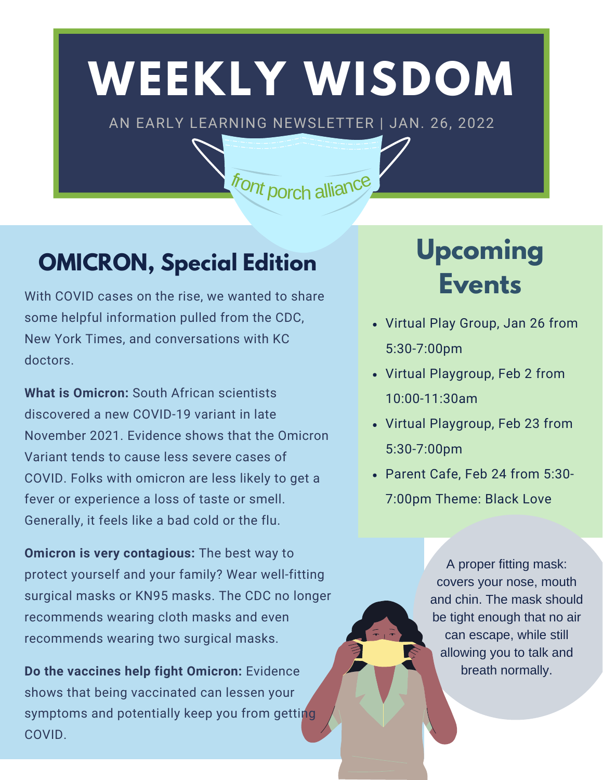# **WEEKLY WISDOM**

AN EARLY LEARNING NEWSLETTER | JAN. 26, 2022

front porch alliance

### **OMICRON, Special Edition**

With COVID cases on the rise, we wanted to share some helpful information pulled from the CDC, New York Times, and conversations with KC doctors.

**What is Omicron:** South African scientists discovered a new COVID-19 variant in late November 2021. Evidence shows that the Omicron Variant tends to cause less severe cases of COVID. Folks with omicron are less likely to get a fever or experience a loss of taste or smell. Generally, it feels like a bad cold or the flu.

**Omicron is very contagious:** The best way to protect yourself and your family? Wear well-fitting surgical masks or KN95 masks. The CDC no longer recommends wearing cloth masks and even recommends wearing two surgical masks.

**Do the vaccines help fight Omicron:** Evidence shows that being vaccinated can lessen your symptoms and potentially keep you from getting COVID.

## **Upcoming Events**

- Virtual Play Group, Jan 26 from 5:30-7:00pm
- Virtual Playgroup, Feb 2 from 10:00-11:30am
- Virtual Playgroup, Feb 23 from 5:30-7:00pm
- Parent Cafe, Feb 24 from 5:30- 7:00pm Theme: Black Love

A proper fitting mask: covers your nose, mouth and chin. The mask should be tight enough that no air can escape, while still allowing you to talk and breath normally.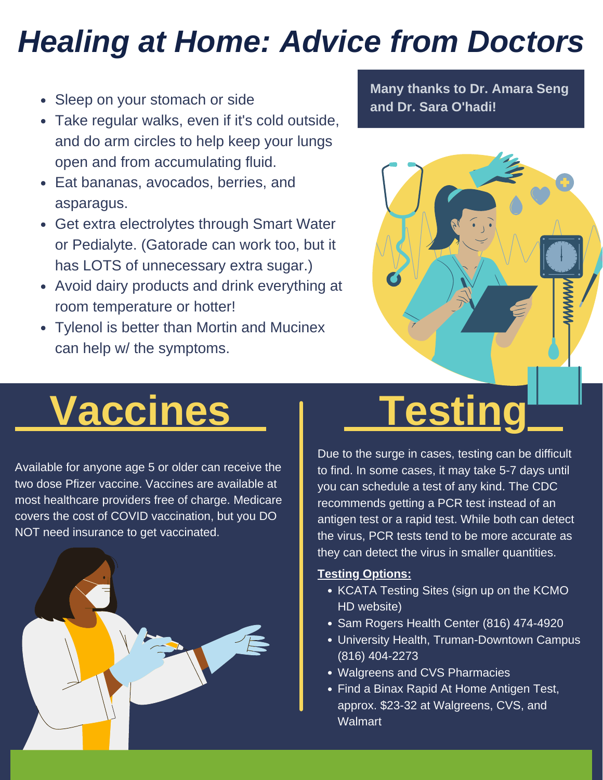## *Healing at Home: Advice from Doctors*

- Sleep on your stomach or side
- Take regular walks, even if it's cold outside, and do arm circles to help keep your lungs open and from accumulating fluid.
- Eat bananas, avocados, berries, and asparagus.
- Get extra electrolytes through Smart Water or Pedialyte. (Gatorade can work too, but it has LOTS of unnecessary extra sugar.)
- Avoid dairy products and drink everything at room temperature or hotter!
- Tylenol is better than Mortin and Mucinex can help w/ the symptoms.

**Many thanks to Dr. Amara Seng and Dr. Sara O'hadi!**



# **Vaccines** | Testing

Available for anyone age 5 or older can receive the two dose Pfizer vaccine. Vaccines are available at most healthcare providers free of charge. Medicare covers the cost of COVID vaccination, but you DO NOT need insurance to get vaccinated.



Due to the surge in cases, testing can be difficult to find. In some cases, it may take 5-7 days until you can schedule a test of any kind. The CDC recommends getting a PCR test instead of an antigen test or a rapid test. While both can detect the virus, PCR tests tend to be more accurate as they can detect the virus in smaller quantities.

#### **Testing Options:**

- KCATA Testing Sites (sign up on the KCMO HD website)
- Sam Rogers Health Center (816) 474-4920
- University Health, Truman-Downtown Campus (816) 404-2273
- Walgreens and CVS Pharmacies
- Find a Binax Rapid At Home Antigen Test, approx. \$23-32 at Walgreens, CVS, and **Walmart**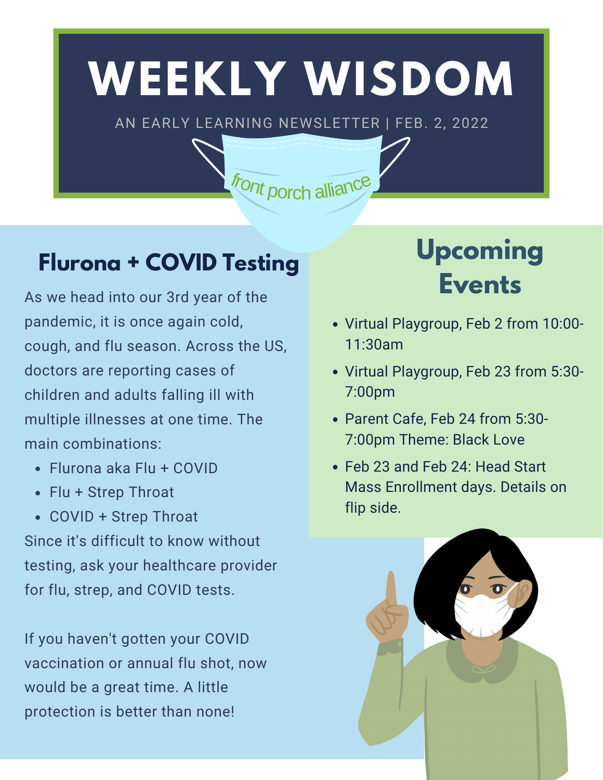# **WEEKLY WISDOM**

AN EARLY LEARNING NEWSLETTER | FEB. 2, 2022

front porch alliance

### **Flurona + COVID Testing**

As we head into our 3rd year of the pandemic, it is once again cold, cough, and flu season. Across the US, doctors are reporting cases of children and adults falling ill with multiple illnesses at one time. The main combinations:

- Flurona aka Flu + COVID
- Flu + Strep Throat
- COVID + Strep Throat

Since it's difficult to know without testing, ask your healthcare provider for flu, strep, and COVID tests.

If you haven't gotten your COVID vaccination or annual flu shot, now would be a great time. A little protection is better than none!

## **Upcoming Events**

- Virtual Playgroup, Feb 2 from 10:00- 11:30am
- Virtual Playgroup, Feb 23 from 5:30- 7:00pm
- Parent Cafe, Feb 24 from 5:30- 7:00pm Theme: Black Love
- Feb 23 and Feb 24: Head Start Mass Enrollment days. Details on flip side.